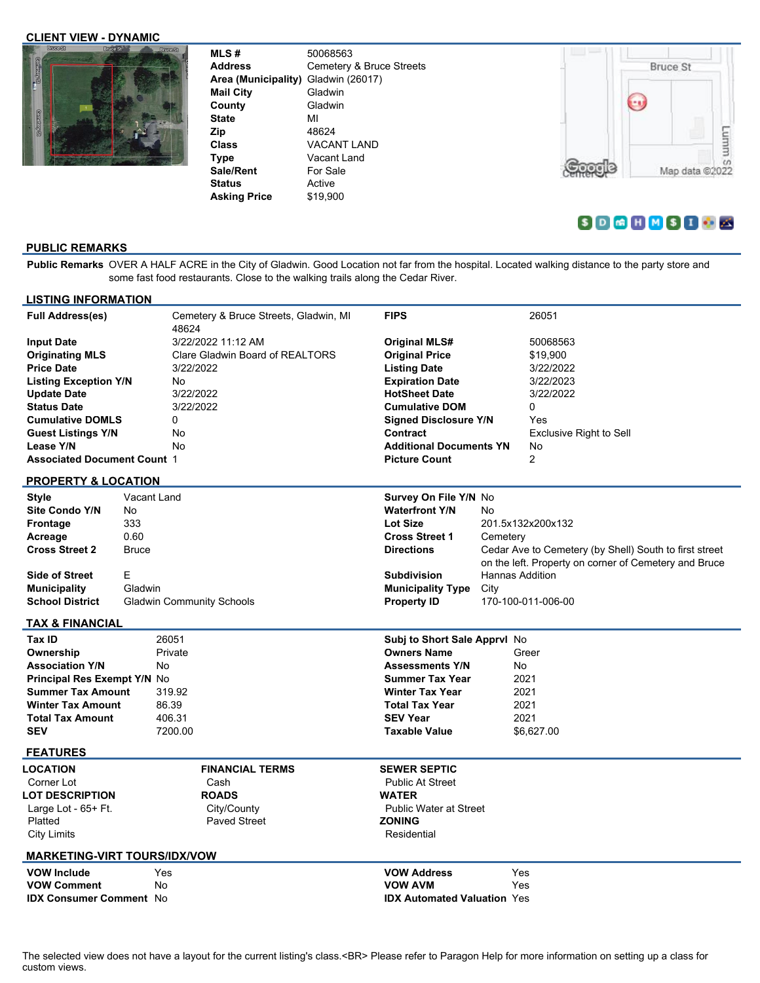### **CLIENT VIEW - DYNAMIC**



| MLS#                | 50068563                 |
|---------------------|--------------------------|
| <b>Address</b>      | Cemetery & Bruce Streets |
| Area (Municipality) | Gladwin (26017)          |
| <b>Mail City</b>    | Gladwin                  |
| County              | Gladwin                  |
| <b>State</b>        | мі                       |
| Zip                 | 48624                    |
| <b>Class</b>        | <b>VACANT LAND</b>       |
| <b>Type</b>         | Vacant Land              |
| Sale/Rent           | For Sale                 |
| <b>Status</b>       | Active                   |
| <b>Asking Price</b> | \$19.900                 |



# **SDGHMSIC**

## **PUBLIC REMARKS**

**Public Remarks** OVER A HALF ACRE in the City of Gladwin. Good Location not far from the hospital. Located walking distance to the party store and some fast food restaurants. Close to the walking trails along the Cedar River.

| <b>LISTING INFORMATION</b>                                 |              |           |                                       |                                    |                    |                                                        |  |  |  |
|------------------------------------------------------------|--------------|-----------|---------------------------------------|------------------------------------|--------------------|--------------------------------------------------------|--|--|--|
| <b>Full Address(es)</b>                                    |              | 48624     | Cemetery & Bruce Streets, Gladwin, MI | <b>FIPS</b>                        |                    | 26051                                                  |  |  |  |
| <b>Input Date</b>                                          |              |           | 3/22/2022 11:12 AM                    | <b>Original MLS#</b>               |                    | 50068563                                               |  |  |  |
| <b>Originating MLS</b>                                     |              |           | Clare Gladwin Board of REALTORS       | <b>Original Price</b>              |                    | \$19,900                                               |  |  |  |
| <b>Price Date</b>                                          |              | 3/22/2022 |                                       | <b>Listing Date</b>                |                    | 3/22/2022                                              |  |  |  |
| <b>Listing Exception Y/N</b>                               |              | No.       |                                       | <b>Expiration Date</b>             |                    | 3/22/2023                                              |  |  |  |
| <b>Update Date</b>                                         |              | 3/22/2022 |                                       | <b>HotSheet Date</b>               |                    | 3/22/2022                                              |  |  |  |
| <b>Status Date</b>                                         |              | 3/22/2022 |                                       | <b>Cumulative DOM</b>              |                    | 0                                                      |  |  |  |
| <b>Cumulative DOMLS</b><br>0                               |              |           |                                       | <b>Signed Disclosure Y/N</b>       |                    | Yes                                                    |  |  |  |
| <b>Guest Listings Y/N</b>                                  |              | No        |                                       | Contract                           |                    | Exclusive Right to Sell                                |  |  |  |
| Lease Y/N                                                  |              | No        |                                       | <b>Additional Documents YN</b>     |                    | No                                                     |  |  |  |
| <b>Associated Document Count 1</b>                         |              |           |                                       | <b>Picture Count</b>               |                    | $\overline{2}$                                         |  |  |  |
| <b>PROPERTY &amp; LOCATION</b>                             |              |           |                                       |                                    |                    |                                                        |  |  |  |
| <b>Style</b>                                               | Vacant Land  |           |                                       | Survey On File Y/N No              |                    |                                                        |  |  |  |
| <b>Site Condo Y/N</b>                                      | No.          |           |                                       | <b>Waterfront Y/N</b>              | No                 |                                                        |  |  |  |
| <b>Frontage</b>                                            | 333          |           |                                       | <b>Lot Size</b>                    |                    | 201.5x132x200x132                                      |  |  |  |
| Acreage                                                    | 0.60         |           |                                       | <b>Cross Street 1</b>              | Cemetery           |                                                        |  |  |  |
| <b>Cross Street 2</b>                                      | <b>Bruce</b> |           |                                       | <b>Directions</b>                  |                    | Cedar Ave to Cemetery (by Shell) South to first street |  |  |  |
|                                                            |              |           |                                       |                                    |                    | on the left. Property on corner of Cemetery and Bruce  |  |  |  |
| <b>Side of Street</b>                                      | Е            |           |                                       | <b>Subdivision</b>                 |                    | <b>Hannas Addition</b>                                 |  |  |  |
| <b>Municipality</b>                                        | Gladwin      |           |                                       | <b>Municipality Type</b><br>City   |                    |                                                        |  |  |  |
| <b>School District</b><br><b>Gladwin Community Schools</b> |              |           | <b>Property ID</b>                    |                                    | 170-100-011-006-00 |                                                        |  |  |  |
| <b>TAX &amp; FINANCIAL</b>                                 |              |           |                                       |                                    |                    |                                                        |  |  |  |
| Tax ID                                                     |              | 26051     |                                       | Subj to Short Sale Apprvl No       |                    |                                                        |  |  |  |
| Ownership                                                  |              | Private   |                                       | <b>Owners Name</b>                 |                    | Greer                                                  |  |  |  |
| <b>Association Y/N</b>                                     | No           |           |                                       | <b>Assessments Y/N</b>             |                    | No                                                     |  |  |  |
| <b>Principal Res Exempt Y/N No</b>                         |              |           |                                       | <b>Summer Tax Year</b>             |                    | 2021                                                   |  |  |  |
| <b>Summer Tax Amount</b>                                   |              | 319.92    |                                       | <b>Winter Tax Year</b>             |                    | 2021                                                   |  |  |  |
| <b>Winter Tax Amount</b>                                   |              | 86.39     |                                       | <b>Total Tax Year</b>              |                    | 2021                                                   |  |  |  |
| <b>Total Tax Amount</b>                                    |              | 406.31    |                                       | <b>SEV Year</b>                    |                    | 2021                                                   |  |  |  |
| <b>SEV</b>                                                 |              | 7200.00   |                                       | <b>Taxable Value</b>               |                    | \$6,627.00                                             |  |  |  |
| <b>FEATURES</b>                                            |              |           |                                       |                                    |                    |                                                        |  |  |  |
| <b>LOCATION</b>                                            |              |           | <b>FINANCIAL TERMS</b>                | <b>SEWER SEPTIC</b>                |                    |                                                        |  |  |  |
| Corner Lot                                                 |              |           | Cash                                  | <b>Public At Street</b>            |                    |                                                        |  |  |  |
| <b>LOT DESCRIPTION</b>                                     |              |           | <b>ROADS</b>                          | <b>WATER</b>                       |                    |                                                        |  |  |  |
| Large Lot - $65+$ Ft.                                      |              |           | City/County                           | <b>Public Water at Street</b>      |                    |                                                        |  |  |  |
| Platted                                                    |              |           | <b>Paved Street</b>                   | <b>ZONING</b>                      |                    |                                                        |  |  |  |
| <b>City Limits</b>                                         |              |           |                                       | Residential                        |                    |                                                        |  |  |  |
| <b>MARKETING-VIRT TOURS/IDX/VOW</b>                        |              |           |                                       |                                    |                    |                                                        |  |  |  |
| <b>VOW Include</b>                                         |              | Yes       |                                       | <b>VOW Address</b>                 |                    | Yes                                                    |  |  |  |
| <b>VOW Comment</b>                                         | No           |           |                                       | <b>VOW AVM</b>                     |                    | Yes                                                    |  |  |  |
| <b>IDX Consumer Comment No</b>                             |              |           |                                       | <b>IDX Automated Valuation Yes</b> |                    |                                                        |  |  |  |
|                                                            |              |           |                                       |                                    |                    |                                                        |  |  |  |

The selected view does not have a layout for the current listing's class.<BR> Please refer to Paragon Help for more information on setting up a class for custom views.